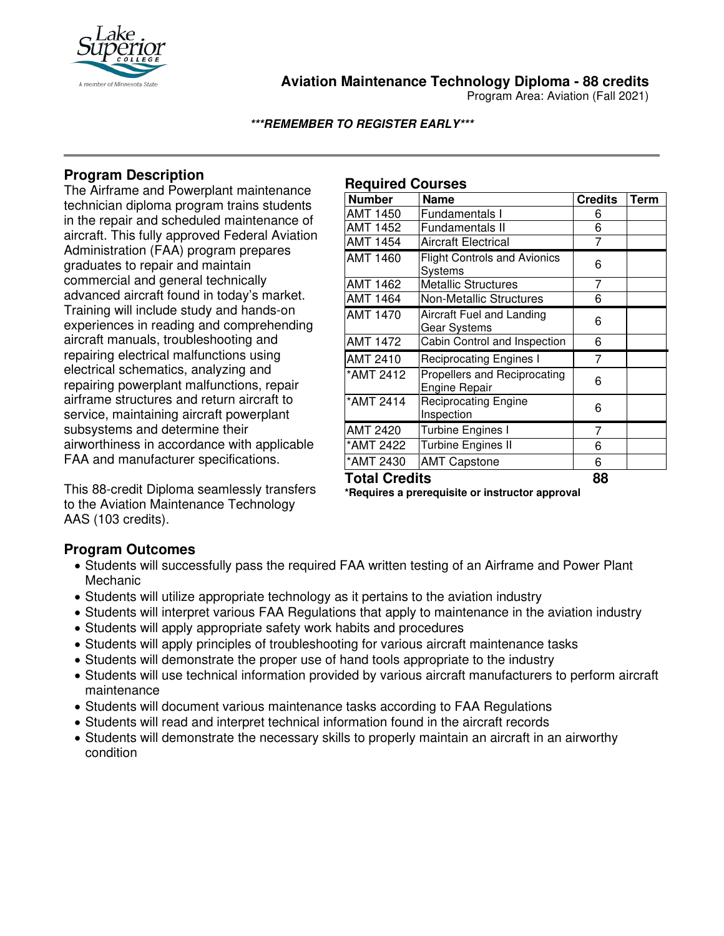

**Aviation Maintenance Technology Diploma - 88 credits**

Program Area: Aviation (Fall 2021)

**\*\*\*REMEMBER TO REGISTER EARLY\*\*\***

# **Program Description**

The Airframe and Powerplant maintenance technician diploma program trains students in the repair and scheduled maintenance of aircraft. This fully approved Federal Aviation Administration (FAA) program prepares graduates to repair and maintain commercial and general technically advanced aircraft found in today's market. Training will include study and hands-on experiences in reading and comprehending aircraft manuals, troubleshooting and repairing electrical malfunctions using electrical schematics, analyzing and repairing powerplant malfunctions, repair airframe structures and return aircraft to service, maintaining aircraft powerplant subsystems and determine their airworthiness in accordance with applicable FAA and manufacturer specifications.

This 88-credit Diploma seamlessly transfers to the Aviation Maintenance Technology AAS (103 credits).

#### **Required Courses**

| <b>Number</b>        | Name                                                 | <b>Credits</b> | <b>Term</b> |
|----------------------|------------------------------------------------------|----------------|-------------|
| AMT 1450             | Fundamentals I                                       | 6              |             |
| AMT 1452             | <b>Fundamentals II</b>                               | 6              |             |
| AMT 1454             | <b>Aircraft Electrical</b>                           | 7              |             |
| AMT 1460             | <b>Flight Controls and Avionics</b><br>Systems       | 6              |             |
| <b>AMT 1462</b>      | <b>Metallic Structures</b>                           | 7              |             |
| AMT 1464             | <b>Non-Metallic Structures</b>                       | 6              |             |
| <b>AMT 1470</b>      | Aircraft Fuel and Landing<br>Gear Systems            | 6              |             |
| <b>AMT 1472</b>      | Cabin Control and Inspection                         | 6              |             |
| AMT 2410             | <b>Reciprocating Engines I</b>                       | 7              |             |
| *AMT 2412            | Propellers and Reciprocating<br><b>Engine Repair</b> | 6              |             |
| *AMT 2414            | <b>Reciprocating Engine</b><br>Inspection            | 6              |             |
| <b>AMT 2420</b>      | Turbine Engines I                                    | 7              |             |
| *AMT 2422            | Turbine Engines II                                   | 6              |             |
| *AMT 2430            | <b>AMT Capstone</b>                                  | 6              |             |
| <b>Total Credits</b> |                                                      | 88             |             |

**\*Requires a prerequisite or instructor approval**

**Program Outcomes**

- Students will successfully pass the required FAA written testing of an Airframe and Power Plant Mechanic
- Students will utilize appropriate technology as it pertains to the aviation industry
- Students will interpret various FAA Regulations that apply to maintenance in the aviation industry
- Students will apply appropriate safety work habits and procedures
- Students will apply principles of troubleshooting for various aircraft maintenance tasks
- Students will demonstrate the proper use of hand tools appropriate to the industry
- Students will use technical information provided by various aircraft manufacturers to perform aircraft maintenance
- Students will document various maintenance tasks according to FAA Regulations
- Students will read and interpret technical information found in the aircraft records
- Students will demonstrate the necessary skills to properly maintain an aircraft in an airworthy condition